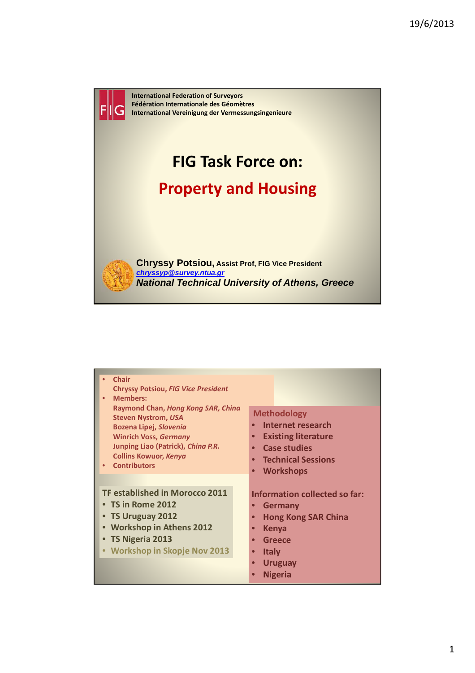

| Chair<br>$\bullet$<br><b>Chryssy Potsiou, FIG Vice President</b><br><b>Members:</b><br>$\bullet$<br>Raymond Chan, Hong Kong SAR, Ching<br><b>Steven Nystrom, USA</b><br><b>Bozena Lipej, Slovenia</b><br><b>Winrich Voss, Germany</b><br>Junping Liao (Patrick), China P.R.<br><b>Collins Kowuor, Kenya</b><br><b>Contributors</b> | <b>Methodology</b><br>Internet research<br><b>Existing literature</b><br>$\bullet$<br><b>Case studies</b><br>$\bullet$<br><b>Technical Sessions</b><br>$\bullet$                                                                    |
|------------------------------------------------------------------------------------------------------------------------------------------------------------------------------------------------------------------------------------------------------------------------------------------------------------------------------------|-------------------------------------------------------------------------------------------------------------------------------------------------------------------------------------------------------------------------------------|
|                                                                                                                                                                                                                                                                                                                                    | <b>Workshops</b><br>$\bullet$                                                                                                                                                                                                       |
| TF established in Morocco 2011<br>$\bullet$ TS in Rome 2012<br>• TS Uruguay 2012<br>• Workshop in Athens 2012<br>• TS Nigeria 2013<br>• Workshop in Skopje Nov 2013                                                                                                                                                                | Information collected so far:<br><b>Germany</b><br><b>Hong Kong SAR China</b><br>$\bullet$<br><b>Kenya</b><br>$\bullet$<br><b>Greece</b><br>$\bullet$<br><b>Italy</b><br>$\bullet$<br><b>Uruguay</b><br>$\bullet$<br><b>Nigeria</b> |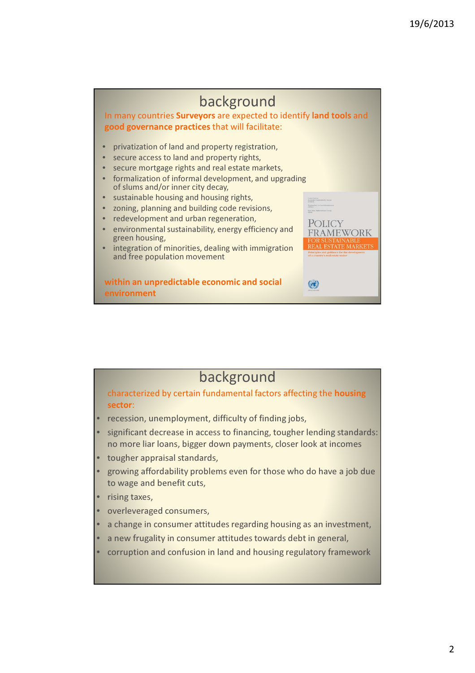

### background

characterized by certain fundamental factors affecting the housing sector:

- recession, unemployment, difficulty of finding jobs,
- significant decrease in access to financing, tougher lending standards: no more liar loans, bigger down payments, closer look at incomes
- tougher appraisal standards,
- growing affordability problems even for those who do have a job due to wage and benefit cuts,
- rising taxes,
- overleveraged consumers,
- a change in consumer attitudes regarding housing as an investment.
- a new frugality in consumer attitudes towards debt in general.
- corruption and confusion in land and housing regulatory framework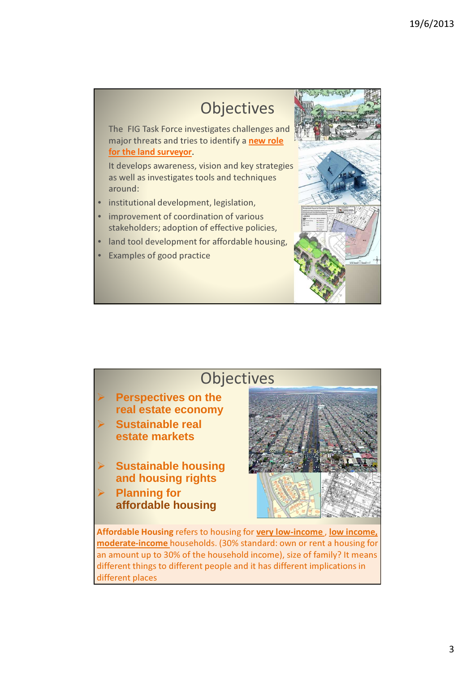## **Objectives**

The FIG Task Force investigates challenges and major threats and tries to identify a new role for the land surveyor.

It develops awareness, vision and key strategies as well as investigates tools and techniques around:

- institutional development, legislation,
- improvement of coordination of various stakeholders; adoption of effective policies,
- land tool development for affordable housing,
- **Examples of good practice**



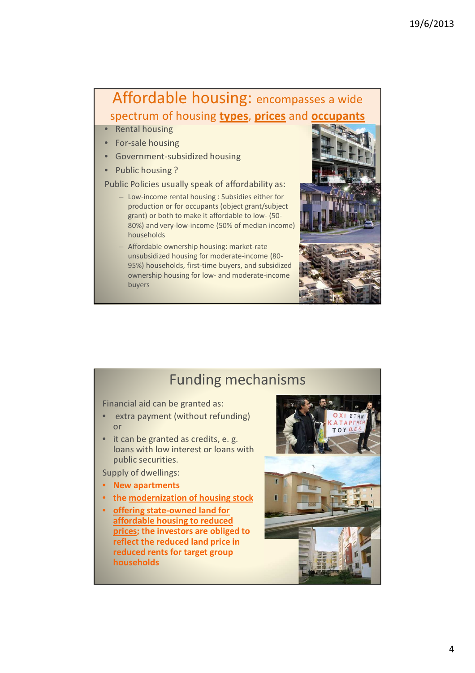### Affordable housing: encompasses a wide spectrum of housing types, prices and occupants

- Rental housing
- For-sale housing
- Government-subsidized housing
- Public housing ?

#### Public Policies usually speak of affordability as:

- Low-income rental housing : Subsidies either for production or for occupants (object grant/subject grant) or both to make it affordable to low- (50- 80%) and very-low-income (50% of median income) households
- Affordable ownership housing: market-rate unsubsidized housing for moderate-income (80- 95%) households, first-time buyers, and subsidized ownership housing for low- and moderate-income buyers



### Funding mechanisms

Financial aid can be granted as:

- extra payment (without refunding) or
- it can be granted as credits, e. g. loans with low interest or loans with public securities.

Supply of dwellings:

- New apartments
- the modernization of housing stock
- offering state-owned land for affordable housing to reduced prices; the investors are obliged to reflect the reduced land price in reduced rents for target group households

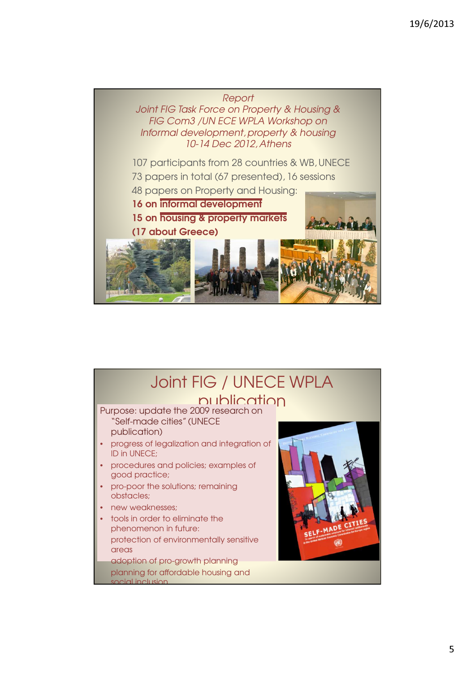#### Report

Joint FIG Task Force on Property & Housing & FIG Com3 /UN ECE WPLA Workshop on Informal development, property & housing 10-14 Dec 2012, Athens

107 participants from 28 countries & WB, UNECE 73 papers in total (67 presented), 16 sessions 48 papers on Property and Housing: 16 on informal development 15 on housing & property markets  $100$ (17 about Greece)

### Joint FIG / UNECE WPLA publication

Purpose: update the 2009 research on "Self-made cities" (UNECE publication)

- progress of legalization and integration of ID in UNECE;
- procedures and policies; examples of good practice;
- pro-poor the solutions; remaining obstacles;
- new weaknesses;
- tools in order to eliminate the phenomenon in future: protection of environmentally sensitive areas adoption of pro-growth planning

planning for affordable housing and social inclusion



5